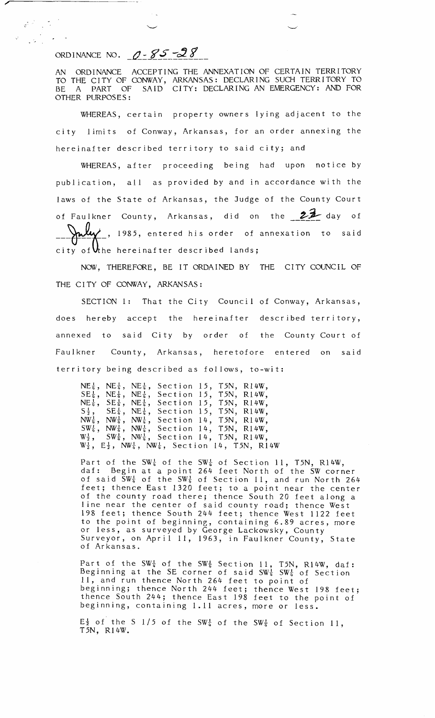ORDINANCE NO.  $0 - 85 - 28$ 

 $\frac{1}{\sqrt{2}}\left(\frac{1}{\sqrt{2}}\right)^{2}=\frac{1}{\sqrt{2}}\left(\frac{1}{\sqrt{2}}\right)^{2}=\frac{1}{2}\left(\frac{1}{\sqrt{2}}\right)^{2}=\frac{1}{2}\left(\frac{1}{\sqrt{2}}\right)^{2}=\frac{1}{2}\left(\frac{1}{\sqrt{2}}\right)^{2}=\frac{1}{2}\left(\frac{1}{\sqrt{2}}\right)^{2}=\frac{1}{2}\left(\frac{1}{\sqrt{2}}\right)^{2}=\frac{1}{2}\left(\frac{1}{\sqrt{2}}\right)^{2}=\frac{1}{2}\left(\frac{1}{\sqrt{2}}\right$ 

AN ORDINANCE ACCEPTING THE ANNEXATION OF CERTAIN TERRITORY TO THE CITY OF CONWAY, ARKANSAS: DECLARING SUCH TERRITORY TO BE A PART OF SAID CITY: DECLARING AN EMERGENCY: AND FOR OTHER PURPOSES:

WHEREAS, certain property owners lying adjacent to the city limits of Conway, Arkansas, for an order annexing the hereinafter described territory to said city; and

WHEREAS, after proceeding being had upon notice by publication, all as provided by and in accordance with the laws of the State of Arkansas, the Judge of the County Court of Faulkner County, Arkansas, did on the  $22$  day of 1985, entered his order of annexation to said city of  $U$ the hereinafter described lands;

NOW, THEREFORE, BE IT ORDAINED BY THE CITY COUNCIL OF THE CITY OF CONWAY, ARKANSAS:

SECTION 1: That the City Council of Conway, Arkansas, does hereby accept the hereinafter described territory, annexed to said City by order of the County Court of Faulkner County, Arkansas, heretofore entered on said territory being described as follows, to-wit:

|  | $NE\frac{1}{4}$ , $NE\frac{1}{4}$ , $NE\frac{1}{4}$ , Section 15, T5N, R14W,                                                  |  |  |
|--|-------------------------------------------------------------------------------------------------------------------------------|--|--|
|  | $SE\frac{1}{4}$ , NE $\frac{1}{4}$ , NE $\frac{1}{4}$ , Section 15, T5N, R14W,                                                |  |  |
|  | $NE\frac{1}{4}$ , $SE\frac{1}{4}$ , $NE\frac{1}{4}$ , Section 15, T5N, R14W,                                                  |  |  |
|  | $S_{\frac{1}{2}}^{\frac{1}{2}},$ $SE_{\frac{1}{4}}^{\frac{1}{2}},$ $NE_{\frac{1}{4}}^{\frac{1}{2}},$ Section 15, T5N, R14W,   |  |  |
|  | $NW\frac{1}{a}$ , $NW\frac{1}{a}$ , $NW\frac{1}{a}$ , Section 14, T5N, R14W,                                                  |  |  |
|  | $SW\frac{1}{4}$ , $NW\frac{1}{4}$ , $NW\frac{1}{4}$ , Section 14, T5N, R14W,                                                  |  |  |
|  | $W_{\frac{1}{2}}$ , SW $\frac{1}{4}$ , NW $\frac{1}{4}$ , Section 14, T5N, R14W,                                              |  |  |
|  | $\texttt{W}^1_2$ , $\texttt{E}^1_2$ , $\texttt{NW}^1_{\overline{u}}$ , $\texttt{NW}^1_{\overline{u}}$ , Section 14, T5N, R14W |  |  |

Part of the SW<sup>1</sup> of the SW<sup>1</sup> of Section 11, T5N, R14W, daf: Begin at a point 264 feet North of the SW corner  $\mathfrak{sof}$  said  $\mathsf{SW}^1_{\overline{u}}$  of  $\mathsf{SW}^1_{\overline{u}}$  of Section  $11,$  and run North 264 feet; thence East 1320 feet; to a point near the center of the county road there; thence South 20 feet along a line near the center of said county road; thence West 198 feet; thence South 244 feet; thence West 1122 feet to the point of beginning, containing 6.89 acres, more or less, as surveyed by George Lackowsky, County Surveyor, on April 11, 1963, in Faulkner County, State of Arkansas.

 $P$ art of the SW $\frac{1}{4}$  of the SW $\frac{1}{4}$  Section 11, T5N, R14W, daf: Beginning at the SE corner of said SW $\frac{1}{4}$  SW $\frac{1}{4}$  of Section 11, and run thence North 264 feet to point of beginning; thence North 244 feet; thence West 198 feet; thence South 244; thence East 198 feet to the point of  $\overline{\phantom{a}}$ beginning, containing 1.11 acres, more or less.

 $E^{\perp}_{2}$  of the S 1/5 of the SW<sup>1</sup> of the SW<sup>1</sup> of Section 11, T5N, R14W.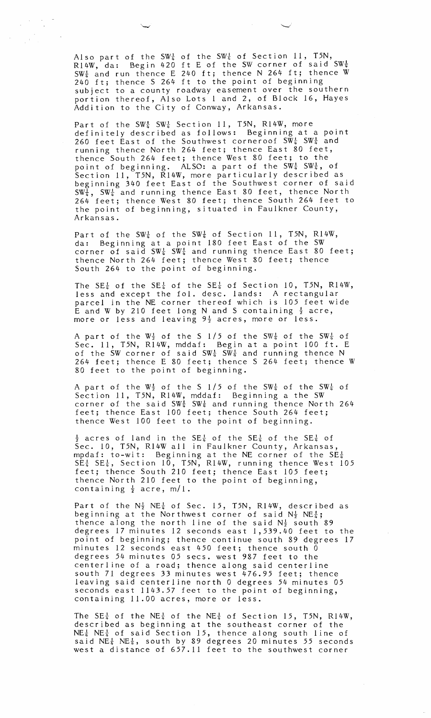Also part of the SW $\frac{1}{4}$  of the SW $\frac{1}{4}$  of Section 11, T5N, R14W, da: Begin 420 ft E of the SW corner of said  $\text{SW}^1_{\overline{u}}$ SW<sup>1</sup>/<sub>4</sub> and run thence E 240 ft; thence N 264 ft; thence W 240 ft; thence S 264 ft to the point of beginning subject to a county roadway easement over the southern portion thereof, Also Lots 1 and 2, of Block 16, Hayes Addition to the City of Conway, Arkansas.

 $\label{eq:2.1} \frac{1}{\sqrt{2\pi}}\frac{1}{\sqrt{2\pi}}\frac{1}{\sqrt{2\pi}}\frac{1}{\sqrt{2\pi}}\frac{1}{\sqrt{2\pi}}\frac{1}{\sqrt{2\pi}}\frac{1}{\sqrt{2\pi}}\frac{1}{\sqrt{2\pi}}\frac{1}{\sqrt{2\pi}}\frac{1}{\sqrt{2\pi}}\frac{1}{\sqrt{2\pi}}\frac{1}{\sqrt{2\pi}}\frac{1}{\sqrt{2\pi}}\frac{1}{\sqrt{2\pi}}\frac{1}{\sqrt{2\pi}}\frac{1}{\sqrt{2\pi}}\frac{1}{\sqrt{2\pi}}\frac{1}{\sqrt$  $\epsilon$ 

> Part of the SW $\frac{1}{4}$  SW $\frac{1}{4}$  Section 11, T5N, R14W, more definitely described as follows: Beginning at a point 260 feet East of the Southwest corneroof  $SW_{\frac{1}{4}}$  SW $_{\frac{1}{4}}$  and running thence North 264 feet; thence East 80 feet, thence South 264 feet; thence West 80 feet; to the point of beginning. ALSO: a part of the SW $\frac{1}{4}$  SW $\frac{1}{4}$ , of Section 11, T5N, R14W, more particularly described as beginning 340 feet East of the Southwest corner of said  $SW\frac{1}{4}$ ,  $SW\frac{1}{4}$  and running thence East 80 feet, thence North 264 feet; thence West 80 feet; thence South 264 feet to the point of beginning, situated in Faulkner County, Arkansas.

> Part of the SW $\frac{1}{4}$  of the SW $\frac{1}{4}$  of Section 11, T5N, R14W, da: Beginning at a point 180 feet East of the SW corner of said SW $\frac{1}{4}$  SW $\frac{1}{4}$  and running thence East 80 feet; thence North 264 feet; thence West 80 feet; thence South 264 to the point of beginning.

The SE<sup>1</sup> of the SE<sup>1</sup> of the SE<sup>1</sup> of Section 10, T5N, R14W, less and except the fol. desc. lands: A rectangular parcel in the NE corner thereof which is 105 feet wide E and W by 210 feet long N and S containing  $\frac{1}{2}$  acre, more or less and leaving  $9\frac{1}{2}$  acres, more or less.

A part of the  $\mathbb{W}^1_{\mathbb{Z}}$  of the S  $1/5$  of the  $\mathbb{SW}^1_{\mathbb{Z}}$  of the  $\mathbb{SW}^1_{\mathbb{Z}}$  of Sec. 11, T5N, R14W, mddaf: Begin at a point 100 ft. E of the SW corner of said SW $\frac{1}{4}$  SW $\frac{1}{4}$  and running thence N  $-$ 264 feet; thence E 80 feet; thence S 264 feet; thence W 80 feet to the point of beginning.

A part of the  $W_{\frac{1}{2}}$  of the S  $1/5$  of the SW $\frac{1}{4}$  of the SW $\frac{1}{4}$  of Section 11, T5N, R14W, mddaf: Beginning a the SW corner of the said  $SW_{\frac{1}{4}}^{\frac{1}{2}}$  SW<sub>4</sub> and running thence North 264 feet; thence East 100 feet; thence South 264 feet; thence West 100 feet to the point of beginning.

 $\frac{1}{2}$  acres of land in the SE $\frac{1}{4}$  of the SE $\frac{1}{4}$  of the SE $\frac{1}{4}$  of Sec. 10, T5N, R14W all in Faulkner County, Arkansas, mpdaf: to-wit: Beginning at the NE corner of the SE $\frac{1}{4}^ SE\frac{1}{4}$   $SE\frac{1}{4}$ , Section 10, T5N, R14W, running thence West 105 feet; thence South 210 feet; thence East 105 feet; thence North 210 feet to the point of beginning, containing  $\frac{1}{2}$  acre, m/1.

Part of the  $N_{\frac{1}{2}}^{1}$  NE<sup>1</sup> of Sec. 15, T5N, R14W, described as beginning at the Northwest corner of said  $N_{\frac{1}{2}}^{1}$  NE $_{4}^{1}$ ; thence along the north line of the said  $\mathrm{N}_2^1$  south 89 degrees 17 minutes 12 seconds east 1,539.40 feet to the point of beginning; thence continue south 89 degrees 17 minutes 12 seconds east 450 feet; thence south  $\bar{0}$ degrees 54 minutes 05 secs. west 987 feet to the centerline of a road; thence along said centerline south 71 degrees 33 minutes west 476.95 feet; thence leaving said centerline north 0 degrees 54 minutes 05 seconds east 1143.57 feet to the point of beginning, containing 11.00 acres, more or less.

The SE $\frac{1}{4}$  of the NE $\frac{1}{4}$  of the NE $\frac{1}{4}$  of Section 15, T5N, R14W, described as beginning at the southeast corner of the  $NE_{\frac{1}{4}}$  NE $\frac{1}{4}$  of said Section 15, thence along south line of said NE $\frac{1}{4}$  NE $\frac{1}{4}$ , south by 89 degrees 20 minutes 55 seconds west a distance of 657.11 feet to the southwest corner